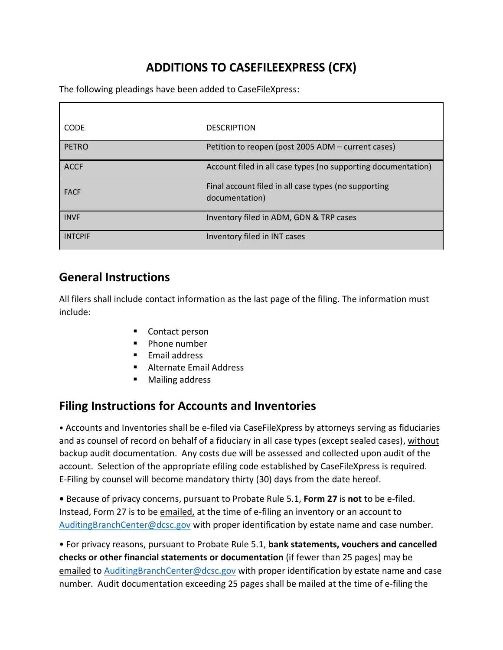## **ADDITIONS TO CASEFILEEXPRESS (CFX)**

The following pleadings have been added to CaseFileXpress:

| <b>CODE</b>    | <b>DESCRIPTION</b>                                                     |
|----------------|------------------------------------------------------------------------|
| <b>PETRO</b>   | Petition to reopen (post 2005 ADM - current cases)                     |
| <b>ACCF</b>    | Account filed in all case types (no supporting documentation)          |
| <b>FACF</b>    | Final account filed in all case types (no supporting<br>documentation) |
| <b>INVF</b>    | Inventory filed in ADM, GDN & TRP cases                                |
| <b>INTCPIF</b> | Inventory filed in INT cases                                           |

## **General Instructions**

All filers shall include contact information as the last page of the filing. The information must include:

- Contact person
- Phone number
- Email address
- Alternate Email Address
- **Mailing address**

## **Filing Instructions for Accounts and Inventories**

• Accounts and Inventories shall be e-filed via CaseFileXpress by attorneys serving as fiduciaries and as counsel of record on behalf of a fiduciary in all case types (except sealed cases), without backup audit documentation. Any costs due will be assessed and collected upon audit of the account. Selection of the appropriate efiling code established by CaseFileXpress is required. E-Filing by counsel will become mandatory thirty (30) days from the date hereof.

**•** Because of privacy concerns, pursuant to Probate Rule 5.1, **Form 27** is **not** to be e-filed. Instead, Form 27 is to be emailed, at the time of e-filing an inventory or an account to [AuditingBranchCenter@dcsc.gov](mailto:AuditingBranchCenter@dcsc.gov) with proper identification by estate name and case number.

• For privacy reasons, pursuant to Probate Rule 5.1, **bank statements, vouchers and cancelled checks or other financial statements or documentation** (if fewer than 25 pages) may be emailed to [AuditingBranchCenter@dcsc.gov](file:///C:/Users/irvingas/AppData/Local/Microsoft/Windows/INetCache/Content.Outlook/6JVXUUK7/AuditingBranchCenter@dcsc.gov) with proper identification by estate name and case number. Audit documentation exceeding 25 pages shall be mailed at the time of e-filing the